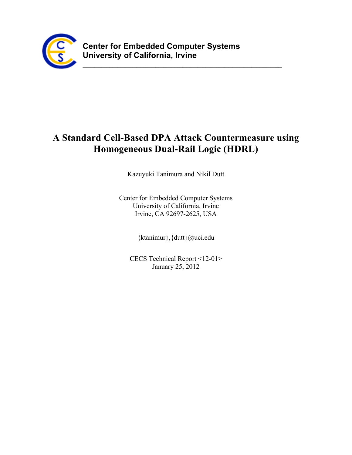

# **A Standard Cell-Based DPA Attack Countermeasure using Homogeneous Dual-Rail Logic (HDRL)**

**\_\_\_\_\_\_\_\_\_\_\_\_\_\_\_\_\_\_\_\_\_\_\_\_\_\_\_\_\_\_\_\_\_\_\_\_\_\_\_\_\_\_\_\_\_\_\_\_\_\_\_\_**

Kazuyuki Tanimura and Nikil Dutt

Center for Embedded Computer Systems University of California, Irvine Irvine, CA 92697-2625, USA

{ktanimur},{dutt}@uci.edu

CECS Technical Report <12-01> January 25, 2012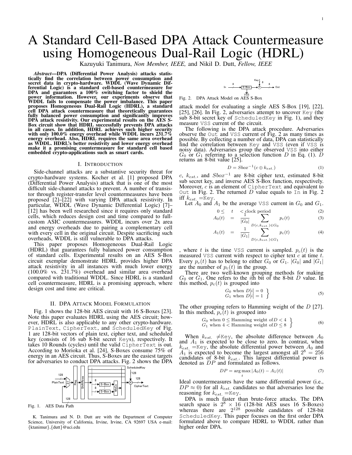# A Standard Cell-Based DPA Attack Countermeasure using Homogeneous Dual-Rail Logic (HDRL)

Kazuyuki Tanimura, *Non Member, IEEE,* and Nikil D. Dutt, *Fellow, IEEE*

*Abstract*—DPA (Differential Power Analysis) attacks statistically find the correlation between power consumption and secret data in crypto-hardware. WDDL (Wave Dynamic Differential Logic) is a standard cell-based countermeasure for DPA and guarantees a 100% switching factor to shield the power information. However, our experiments observe that WDDL fails to compensate the power imbalance. This paper proposes Homogeneous Dual-Rail Logic (HDRL), a standard cell DPA attack countermeasure that theoretically guarantees fully balanced power consumption and significantly improves DPA attack resistivity. Our experimental results on the AES S-Box circuit show that HDRL successfully prevents DPA attacks in all cases. In addition, HDRL achieves such higher security with only 100.0% energy overhead while WDDL incurs  $231.7\%$ energy overhead. Also, HDRL requires the same area overhead as WDDL. HDRL's better resistivity and lower energy overhead make it a promising countermeasure for standard cell based embedded crypto-applications such as smart cards.

# I. INTRODUCTION

Side-channel attacks are a substantive security threat for crypto-hardware systems. Kocher et al. [1] proposed DPA (Differential Power Analysis) attack that is one of the most difficult side-channel attacks to prevent. A number of transistor through register-transfer level countermeasures have been proposed [2]–[22] with varying DPA attack resistivity. In particular, WDDL (Wave Dynamic Differential Logic) [7]– [12] has been well researched since it requires only standard cells, which reduces design cost and time compared to fullcustom ASIC countermeasures. WDDL incurs over 2x area and energy overheads due to pairing a complementary cell with every cell in the original circuit. Despite sacrificing such overheads, WDDL is still vulnerable to DPA attacks.

This paper proposes Homogeneous Dual-Rail Logic (HDRL) that guarantees fully balanced power consumption of standard cells. Experimental results on an AES S-Box circuit exemplar demonstrate HDRL provides higher DPA attack resistivity in all instances with much lower energy (100.0% vs. 231.7%) overhead and similar area overhead compared with traditional WDDL. Since HDRL is a standard cell countermeasure, HDRL is a promising approach, where design cost and time are critical.

# II. DPA ATTACK MODEL FORMULATION

Fig. 1 shows the 128-bit AES circuit with 16 S-Boxes [23]. Note this paper evaluates HDRL using the AES circuit; however, HDRL is also applicable to any other crypto-hardware. PlainText, CipherText, and ScheduledKey of Fig. 1 are 128-bit vectors of plain text, cipher text, and scheduled key (consists of 16 sub 8-bit secret Keys), respectively. It takes 10 Rounds (cycles) until the valid CipherText is out. According to Morioka et al. [24], S-Boxes consume 75% of energy in an AES circuit. Thus, S-Boxes are the easiest targets for adversaries to conduct DPA attacks. Fig. 2 shows the DPA



/ Fig. 1. AES Data Path

K. Tanimura and N. D. Dutt are with the Department of Computer Science, University of California, Irvine, Irvine, CA 92697 USA e-mail: *{*ktanimur*}*,*{*dutt*}*@uci.edu



Fig. 2. DPA Attack Model on AES S-Box

attack model for evaluating a single AES S-Box [19], [22], [25], [26]. In Fig. 2, adversaries attempt to uncover Key (the sub 8-bit secret key of ScheduledKey in Fig. 1), and they measure VSS current of the circuit.

The following is the DPA attack procedure. Adversaries observe the Out and VSS current of Fig. 2 as many times as possible. By collecting a number of data, DPA can statistically find the correlation between Key and VSS (even if VSS is noisy data). Adversaries group the observed VSS into either  $G_0$  or  $G_1$  referring to a selection function *D* in Eq. (1). *D* returns an 8-bit value [25].

$$
D = Sbox^{-1}(c \oplus k_{est.})
$$
 (1)

*c*, *kest.*, and *Sbox−*<sup>1</sup> are 8-bit cipher text, estimated 8-bit sub secret key, and inverse AES S-Box function, respectively. Moreover, *c* is an element of CipherText and equivalent to Out in Fig. 2. The returned  $D$  value equals to  $I_n$  in Fig. 2 iff *kest.* =Key.

Let  $A_0$  and  $A_1$  be the average VSS current in  $G_0$  and  $G_1$ .

$$
0 \leq t < \text{clock period} \tag{2}
$$
  

$$
\log(t) = \frac{1}{1 - \sum_{i=1}^{n} n_i(t)} \tag{3}
$$

$$
A_0(t) = \frac{1}{|G_0|} \sum_{D(c, k_{est.}) \in G_0} p_c(t) \tag{3}
$$

$$
A_1(t) = \frac{1}{|G_1|} \sum_{D(c, k_{est.}) \in G_1}^{\infty} p_c(t) \tag{4}
$$

, where *t* is the time VSS current is sampled.  $p_c(t)$  is the measured VSS current with respect to cipher text *c* at time *t*. Every  $p_c(t)$  has to belong to either  $G_0$  or  $G_1$ .  $|G_0|$  and  $|G_1|$ are the number of  $p_c(t)$  in the group.

There are two well-known grouping methods for making *G*<sup>0</sup> or *G*1. One refers to the *i*th bit of the 8-bit *D* value. In this method,  $p_c(t)$  is grouped into

$$
G_0 \text{ when } D[i] = 0 G_1 \text{ when } D[i] = 1
$$
 (5)

The other grouping refers to Hamming weight of the *D* [27]. In this method,  $p_c(t)$  is grouped into

$$
G_0
$$
 when  $0 \leq$  Hamming weight of  $D < 4$   
\n $G_1$  when  $4 <$  Hamming weight of  $D \leq 8$  (6)

When  $k_{est.} \neq$ Key, the absolute difference between  $A_0$ and  $A_1$  is expected to be close to zero. In contrast, when  $k_{est.}$  =Key, the absolute differential power between  $A_0$  and  $A_1$  is expected to become the largest amongst all  $2^8 = 256$ candidates of 8-bit *kest.*. This largest differential power is denoted as *DP* and formulated as follows.

$$
DP = \underset{t}{\arg \max} |A_0(t) - A_1(t)| \tag{7}
$$

Ideal countermeasures have the same differential power (i.e.,  $DP \approx 0$ ) for all  $k_{est}$  candidates so that adversaries lose the reasoning for  $k_{est}$  =Key.

DPA is much faster than brute-force attacks. The DPA search space is  $2^8 \times 16$  (128-bit AES uses 16 S-Boxes) whereas there are  $2^{128}$  possible candidates of 128-bit ScheduledKey. This paper focuses on the first order DPA formulated above to compare HDRL to WDDL rather than higher order DPA.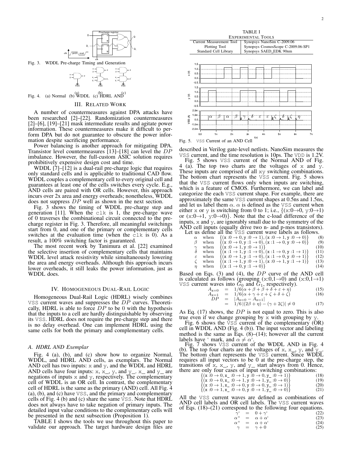

Fig. 3. WDDL Pre-charge Timing and Generation

y x z y x z y\_ x\_ z\_ VSS VSS y x y\_ x\_ z' VSS

z

Fig. 4. (a) Normal (b) WDDL (c) HDRL AND

# III. RELATED WORK

A number of countermeasures against DPA attacks have been researched [2]–[22]. Randomization countermeasures [2]–[6], [19]–[21] mask intermediate results and agitate power information. These countermeasures make it difficult to perform DPA but do not guarantee to obscure the power information despite sacrificing performance.

Power balancing is another approach for mitigating DPA. Transistor level countermeasures [13]–[18] can level the *DP* imbalance. However, the full-custom ASIC solution requires prohibitively expensive design cost and time.

WDDL  $[7]-[12]$  is a dual-rail pre-charge logic that requires only standard cells and is applicable to traditional CAD flow. WDDL couples a complementary cell to every original cell and guarantees at least one of the cells switches every cycle. E.g., AND cells are paired with OR cells. However, this approach incurs over 2x area and energy overheads; nonetheless, WDDL does not suppress *DP* well as shown in the next section.

Fig. 3 shows the timing of WDDL pre-charge step and generation [11]. When the  $c \< k$  is 1, the pre-charge wave of 0 traverses the combinational circuit connected to the precharge register in Fig. 3. Therefore, all meaningful switchings start from 0, and one of the primary or complementary cells switches at the evaluation time (when the clk is 0). As a result, a 100% switching factor is guaranteed.

The most recent work by Tanimura et al. [22] examined the selective insertion of complementary cells that maintains WDDL level attack resistivity while simultaneously lowering the area and energy overheads. Although this approach incurs lower overheads, it still leaks the power information, just as WDDL does.

#### IV. HOMOGENEOUS DUAL-RAIL LOGIC

Homogeneous Dual-Rail Logic (HDRL) wisely combines VSS current waves and suppresses the *DP* curves. Theoretically, HDRL is able to force *DP* to be 0 with the hypothesis that the inputs to a cell are hardly distinguishable by observing its VSS. HDRL does not require the pre-charge step and there is no delay overhead. One can implement HDRL using the same cells for both the primary and complementary cells.

# *A. HDRL AND Exemplar*

Fig. 4 (a), (b), and (c) show how to organize Normal, WDDL, and HDRL AND cells, as exemplars. The Normal AND cell has two inputs:  $x$  and  $y$ , and the WDDL and HDRL AND cells have four inputs:  $x, x_0, y$ , and  $y_0$ .  $x_0$  and  $y_0$  are negations of inputs x and y, respectively. The complementary cell of WDDL is an OR cell. In contrast, the complementary cell of HDRL is the same as the primary (AND) cell. All Fig. 4 (a), (b), and (c) have VSS, and the primary and complementary cells of Fig. 4 (b) and (c) share the same VSS. Note that HDRL does not always have to take negation of primary inputs. The detailed input value conditions to the complementary cells will be presented in the next subsection (Proposition 1).

TABLE I shows the tools we use throughout this paper to validate our approach. The target hardware design files are



Fig. 5. VSS Current of an AND Cell

described in Verilog gate-level netlists. NanoSim measures the VSS current, and the time resolution is 10ps. The VDD is 1.2V.

Fig. 5 shows VSS current of the Normal AND of Fig. 4 (a). The top two charts are the voltages of  $x$  and  $y$ . These inputs are comprised of all xy switching combinations. The bottom chart represents the VSS current. Fig. 5 shows that the VSS current flows only when inputs are switching, which is a feature of CMOS. Furthermore, we can label and categorize the each VSS current shape. For example, there are approximately the same VSS current shapes at 0.5ns and 1.5ns, and let us label them  $\alpha$ .  $\alpha$  is defined as the VSS current when either x or y is switching from 0 to 1; i.e.,  $\{(x:0\rightarrow0, y:0\rightarrow1)\}$ or (x:0*→*1, y:0*→*0)*}*. Note that the c-load difference of the inputs, x and y, are ignorably small due to the symmetry of the AND cell inputs (equally drive two n- and p-mos transistors).<br>Let us define all the VSS current wave labels as follows.

|          |                                                    | Let us define all the $\check{V}SS$ current wave labels as follows. |      |
|----------|----------------------------------------------------|---------------------------------------------------------------------|------|
| $\alpha$ |                                                    | when $\{(x:0 \to 0, y:0 \to 1), (x:0 \to 1, y:0 \to 0)\}\$          | (8)  |
|          |                                                    | when $\{(x:0 \to 0, y:1 \to 0), (x:1 \to 0, y:0 \to 0)\}\$          | (9)  |
|          | when $\{(x:0 \rightarrow 1, y:0 \rightarrow 1)\}\$ |                                                                     | (10) |
|          |                                                    | when $\{(x:1 \to 1, y:1 \to 0), (x:1 \to 0, y:1 \to 1)\}\$          | (11) |
|          |                                                    |                                                                     |      |

 $\varepsilon$  when {(x : 0  $\rightarrow$  1, y : 1  $\rightarrow$  0), (x : 1  $\rightarrow$  0, y : 0  $\rightarrow$  1)} (12)

$$
\zeta \quad \text{when} \quad \{ (\mathbf{x} : 1 \to 1, \mathbf{y} : 0 \to 1), (\mathbf{x} : 0 \to 1, \mathbf{y} : 1 \to 1) \} \tag{13}
$$

*η* when  $\{(x:1 \to 0, y:1 \to 0)\}$ 

Based on Eqs. (3) and (4), the *DP* curve of the AND cell is calculated as follows (grouping  $(x:0,1\rightarrow0)$  and  $(x:0,1\rightarrow1)$ VSS current waves into  $G_0$  and  $G_1$ , respectively).

$$
A_{x=0} = 1/6(\alpha + \beta + \beta + \delta + \varepsilon + \eta)
$$
(15)  
\n
$$
A_{x=1} = 1/6(\alpha + \gamma + \varepsilon + \zeta + \delta + \zeta)
$$
(16)  
\n
$$
DP = |A_{x=0} - A_{x=1}|
$$

$$
= |A_{x=0} - A_{x=1}|
$$
  
= 1/6 |(2\beta + \eta) - (\gamma + 2\zeta)| \neq 0 (17)

As Eq. (17) shows, the *DP* is not equal to zero. This is also true even if we change grouping by  $x$  with grouping by  $y$ .

Fig. 6 shows the VSS current of the complementary (OR) cell in WDDL AND (Fig. 4 (b)). The input vector and labeling method is the same as Eqs.  $(8)$ – $(14)$ ; however all the current labels have ' mark, and  $\alpha \neq \alpha'$ .

Fig. 7 shows VSS current of the WDDL AND in Fig. 4 (b). The top four charts are the voltages of x, x<sub>, y</sub>, and  $y$ <sub>-</sub>. The bottom chart represents the VSS current. Since WDDL requires all input vectors to be 0 at the pre-charge step, the transitions of  $x$ ,  $x_$ ,  $y$ , and  $y_$  start always from 0. Hence, there are only four cases of input switching combinations:

| $\{(x:0 \to 0, x_0:0 \to 1, y:0 \to 0, y_0:0 \to 1)\}\$ | (18) |
|---------------------------------------------------------|------|
| $\{(x:0 \to 0, x_+:0 \to 1, y:0 \to 1, y_+:0 \to 0)\}\$ | (19) |
| $\{(x:0 \to 1, x_0:0 \to 0, y:0 \to 0, y_0:0 \to 1)\}\$ | (20) |
| $\{(x:0 \to 1, x_0:0 \to 0, y:0 \to 1, y_0:0 \to 0)\}\$ | (21) |

All the VSS current waves are defined as combinations of AND cell labels and OR cell labels. The VSS current waves of Eqs. (18)–(21) correspond to the following four equations.

| $\gamma^{\mathfrak{c}}$ |     | $= 0 + \gamma^{\mathfrak{c}}$    | (22) |
|-------------------------|-----|----------------------------------|------|
| $\alpha$ "              | $=$ | $\alpha + \alpha^{\mathfrak{c}}$ | (23) |
| $\alpha$ "              |     | $= \alpha + \alpha'$             | (24) |
| $\gamma$                | $=$ | $\gamma + 0$                     | (25) |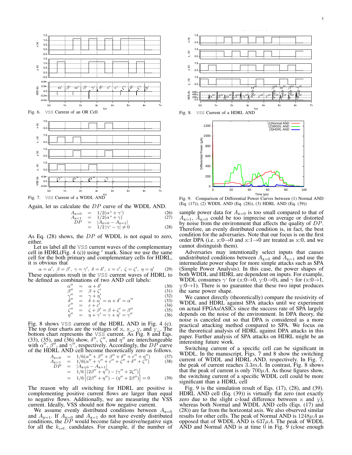

Again, let us calculate the *DP* curve of the WDDL AND.

$$
A_{x=0} = 1/2(\alpha^4 + \gamma^4)
$$
 (26)  
\n
$$
A_{x=1} = 1/2(\alpha^4 + \gamma)
$$
 (27)  
\n
$$
DP = |A_{x=0} - A_{x=1}|
$$
 (27)  
\n
$$
= 1/2|\gamma^4 - \gamma| \neq 0
$$
 (28)

As Eq. (28) shows, the *DP* of WDDL is not equal to zero, either.

Let us label all the VSS current waves of the complementary cell in HDRL(Fig. 4 (c)) using *′* mark. Since we use the same cell for the both primary and complementary cells for HDRL, it is obvious that

 $\alpha = \alpha' , \ \beta = \beta' , \ \gamma = \gamma' , \ \delta = \delta' , \ \varepsilon = \varepsilon' , \ \zeta = \zeta' , \ \eta = \eta'$ (29) These equations result in the VSS current waves of HDRL to be defined as combinations of two AND cell labels:

*ε*

*ζ*

$$
\begin{array}{rcl}\n\alpha'' & = & \alpha + \delta' \\
\beta'' & = & \beta + \zeta'\n\end{array} \tag{30}
$$

$$
\begin{array}{rcl}\n\beta'' & = & \beta + \zeta' \\
\gamma'' & = & \gamma + \eta'\n\end{array}\n\tag{31}
$$

$$
\delta'' = \delta + \alpha' = \alpha + \delta' = \alpha'' \tag{33}
$$

$$
\begin{array}{rcl}\n\mu' & = & \varepsilon + \varepsilon' \\
\mu & = & \varepsilon + \varepsilon'\n\end{array} \tag{34}
$$

$$
\begin{array}{rcl}\n\zeta'' & = & \zeta + \beta' = \beta + \zeta' = \beta'' \\
\eta'' & = & \eta + \gamma' = \gamma + \eta' = \gamma''\n\end{array}\n\tag{35}
$$

Fig. 8 shows VSS current of the HDRL AND in Fig. 4 (c). The top four charts are the voltages of x, x<sub>, y</sub>, and  $\overline{y}$ . The bottom chart represents the VSS current. As Fig. 8 and Eqs. (33), (35), and (36) show,  $\delta''$ ,  $\zeta''$ , and  $\eta''$  are interchangeable with  $\alpha''$ ,  $\beta''$ , and  $\gamma''$ , respectively. Accordingly, the *DP* curve of the HDRL AND cell become theoretically zero as follows.

$$
\begin{array}{rcl}\nA_{x=0} & = & 1/6(\alpha'' + \beta'' + \beta'' + \delta'' + \varepsilon'' + \eta'')\n\end{array} \tag{37}
$$
\n
$$
\begin{array}{rcl}\nA_{x=1} & = & 1/6(\alpha'' + \gamma'' + \varepsilon'' + \zeta'' + \delta'' + \zeta'')\n\end{array} \tag{38}
$$
\n
$$
\begin{array}{rcl}\nDP & = & |A_{x=0} - A_{x=1}| \\
\end{array}
$$

$$
= 1/6 \left[ (2\beta'' + \eta'') - (\gamma'' + 2\zeta'') \right]
$$
  
= 1/6 \left[ (2\beta'' + \eta'') - (\eta'' + 2\beta'') \right] = 0 \t(39)

The reason why all switching for HDRL are positive is complementing positive current flows are larger than equal to negative flows. Additionally, we are measuring the VSS current. Ideally, VSS should not flow negative current.

We assume evenly distributed conditions between  $A_{x=0}$ and  $A_{x=1}$ . If  $A_{x=0}$  and  $A_{x=1}$  do not have evenly distributed conditions, the *DP* would become false positive/negative sign for all the *kest.* candidates. For example, if the number of





Fig. 9. Comparison of Differential Power Curves between (1) Normal AND (Eq. (17)), (2) WDDL AND (Eq. (28)), (3) HDRL AND (Eq. (39))

sample power data for  $A_{x=0}$  is too small compared to that of  $A_{x=1}$ ,  $A_{x=0}$  could be too imprecise on average or distorted by noise from the environment that affects the quality of *DP*. Therefore, an evenly distributed condition is, in fact, the best condition for the adversaries. Note that our focus is on the first order DPA (i.e. x:0*→*0 and x:1*→*0 are treated as x:0, and we cannot distinguish them).

Adversaries may intentionally select inputs that causes undistributed conditions between  $A_{x=0}$  and  $A_{x=1}$  and use the intermediate power shape for more simple attacks such as SPA (Simple Power Analysis). In this case, the power shapes of both WDDL and HDRL are dependent on inputs. For example, WDDL consumes  $\gamma$ <sup>'</sup> for (x:0→0, y:0→0), and  $\gamma$  for (x:0→1, y:0*→*1). There is no guarantee that these two input produces the same power shape.

We cannot directly (theoretically) compare the resistivity of WDDL and HDRL against SPA attacks until we experiment on actual FPGAs/ASICs since the success rate of SPA largely depends on the noise of the environment. In DPA theory, the noise is canceled out so that DPA is considered as a more practical attacking method compared to SPA. We focus on the theoretical analysis of HDRL against DPA attacks in this paper. Further analysis of SPA attacks on HDRL might be an interesting future work.

Switching current of a specific cell can be significant in WDDL. In the manuscript, Figs. 7 and 8 show the switching current of WDDL and  $\widehat{H}$ DRL AND, respectively. In Fig. 7, the peak of current reaches 3*.*3*mA*. In contrast, Fig. 8 shows that the peak of current is only  $700\mu A$ . As those figures show, the switching current of a specific WDDL cell could be more significant than a HDRL cell

Fig. 9 is the simulation result of Eqs. (17), (28), and (39). HDRL AND cell (Eq. (39)) is virtually flat zero (not exactly zero due to the slight c-load difference between  $x$  and  $y$ ), whereas both Normal and WDDL AND cells (Eqs. (17) and (28)) are far from the horizontal axis. We also observed similar results for other cells. The peak of Normal AND is 1248*µA* as opposed that of WDDL AND is  $637\mu A$ . The peak of WDDL  $\overline{AND}$  and Normal AND is at time 0 in Fig. 9 (close enough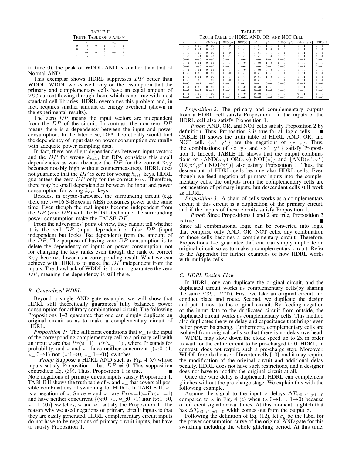|                        | TABLE II |  |  |  |  |  |  |  |  |  |  |  |
|------------------------|----------|--|--|--|--|--|--|--|--|--|--|--|
| TRUTH TABLE OF W AND W |          |  |  |  |  |  |  |  |  |  |  |  |
|                        | W        |  |  |  |  |  |  |  |  |  |  |  |
|                        |          |  |  |  |  |  |  |  |  |  |  |  |
|                        |          |  |  |  |  |  |  |  |  |  |  |  |
|                        |          |  |  |  |  |  |  |  |  |  |  |  |
|                        |          |  |  |  |  |  |  |  |  |  |  |  |

to time 0), the peak of WDDL AND is smaller than that of Normal AND.

This exemplar shows HDRL suppresses *DP* better than WDDL. WDDL works well only on the assumption that the primary and complementary cells have an equal amount of VSS current flowing through them, which is not true with most standard cell libraries. HDRL overcomes this problem and, in fact, requires smaller amount of energy overhead (shown in the experimental results).

The zero *DP* means the input vectors are independent from the *DP* of the circuit. In contrast, the non-zero *DP* means there is a dependency between the input and power consumption. In the later case, DPA theoretically would find the dependency of input data on power consumption eventually with adequate power sampling data.

In fact, there are slight dependencies between input vectors and the *DP* for wrong *kest.*, but DPA considers this small dependencies as zero (because the *DP* for the correct Key becomes notably high without countermeasures). HDRL does not guarantee that the *DP* is zero for wrong *kest.* keys. HDRL guarantees the zero *DP* only for the correct Key. Therefore, there may be small dependencies between the input and power consumption for wrong *kest.* keys.

Besides, in crypto-hardware, the surrounding circuit (e.g. there are  $>=16 \text{ S-Boxes}$  in AES) consumes power at the same time. Even though the real inputs become independent from the  $DP$  (zero  $\overrightarrow{DP}$ ) with the HDRL technique, the surrounding power consumption make the FALSE *DP*.

From the adversaries' point of view, they cannot tell whether it is the real *DP* (input dependent) or false *DP* (input independent but looks like dependent) from the amount of the *DP*. The purpose of having zero *DP* consumption is to delete the dependency of inputs on power consumption, not for changing the key ranks even though the rank of correct Key becomes lower as a corresponding result. What we can achieve with HDRL is to make the *DP* independent from the inputs. The drawback of WDDL is it cannot guarantee the zero *DP*, meaning the dependency is still there.

# *B. Generalized HDRL*

Beyond a single AND gate example, we will show that HDRL still theoretically guarantees fully balanced power consumption for arbitrary combinational circuit. The following Propositions 1–3 guarantee that one can simply duplicate an original circuit so as to make a complementary circuit of HDRL.

*Proposition 1:* The sufficient conditions that  $w$ <sub>1</sub> is the input of the corresponding complementary cell to a primary cell with an input w are that  $Pr(w=1)=Pr(w=1)$ , where Pr stands for probability, and w and w\_ have neither concurrent *{*(w:0*→*1, w\_:0*→*1) nor (w:1*→*0, w\_:1*→*0)*}* switches.

*Proof:* Suppose a HDRL AND such as Fig. 4 (c) whose inputs satisfy Proposition 1 but  $DP \neq 0$ . This supposition contradicts Eq. (39). Thus, Proposition 1 is true. Note negations of primary circuit inputs satisfy Proposition 1. TABLE II shows the truth table of  $w$  and  $w$  that covers all possible combinations of switching for HDRL. In TABLE II,  $w$ is a negation of w. Since w and w<sub>r</sub> are  $Pr(w=1)=Pr(w=1)$ and have neither concurrent *{*(w:0*→*1, w\_:0*→*1) nor (w:1*→*0, w\_:1*→*0)*}* switches, w and w\_ satisfy the Proposition 1. The reason why we used negations of primary circuit inputs is that they are easily generated. HDRL complementary circuit inputs do not have to be negations of primary circuit inputs, but have to satisfy Proposition 1.

TABLE III TRUTH TABLE OF HDRL AND, OR, AND NOT CELL

| x                 | V                 | $\overline{AND}(x,y)$ | OR(x,y)           | NOT(x)            | x'                | v'                | AND(x', y')       | OR(x', y')        | NOT(x')           |
|-------------------|-------------------|-----------------------|-------------------|-------------------|-------------------|-------------------|-------------------|-------------------|-------------------|
| $0 \rightarrow 0$ | $0 \rightarrow 0$ | $0 \rightarrow 0$     | $0 \rightarrow 0$ | $1 \rightarrow 1$ | $1 \rightarrow 1$ | $1 \rightarrow 1$ | $1 \rightarrow 1$ | $1 \rightarrow 1$ | $0 \rightarrow 0$ |
| $0 \rightarrow 0$ | $0 \rightarrow 1$ | $0 \rightarrow 0$     | $0 \rightarrow 1$ | $1 \rightarrow 1$ | $1 \rightarrow 1$ | $1 \rightarrow 0$ | $1 \rightarrow 0$ | $1 \rightarrow 1$ | $0 \rightarrow 0$ |
| $0 \rightarrow 0$ | $1 \rightarrow 0$ | $0 \rightarrow 0$     | $1 \rightarrow 0$ | $1 \rightarrow 1$ | $1 \rightarrow 1$ | $0 \rightarrow 1$ | $0 \rightarrow 1$ | $1 \rightarrow 1$ | $0 \rightarrow 0$ |
| $0 \rightarrow 0$ | $1 \rightarrow 1$ | $0 \rightarrow 0$     | $1 \rightarrow 1$ | $1 \rightarrow 1$ | $1 \rightarrow 1$ | $0 \rightarrow 0$ | $0 \rightarrow 0$ | $1 \rightarrow 1$ | $0 \rightarrow 0$ |
| $0 \rightarrow 1$ | $0 \rightarrow 0$ | $0 \rightarrow 0$     | $0 \rightarrow 1$ | $1 \rightarrow 0$ | $1 \rightarrow 0$ | $1 \rightarrow 1$ | $1 \rightarrow 0$ | $1 \rightarrow 1$ | $0 \rightarrow 1$ |
| $0 \rightarrow 1$ | $0 \rightarrow 1$ | $0 \rightarrow 1$     | $0 \rightarrow 1$ | $1 \rightarrow 0$ | $1 \rightarrow 0$ | $1\rightarrow 0$  | $1 \rightarrow 0$ | $1 \rightarrow 0$ | $0 \rightarrow 1$ |
| $0 \rightarrow 1$ | $1 \rightarrow 0$ | $0 \rightarrow 0$     | $1 \rightarrow 1$ | $1 \rightarrow 0$ | $1 \rightarrow 0$ | $0 \rightarrow 1$ | $0 \rightarrow 0$ | $1 \rightarrow 1$ | $0 \rightarrow 1$ |
| $0 \rightarrow 1$ | $1 \rightarrow 1$ | $0 \rightarrow 1$     | $1 \rightarrow 1$ | $1 \rightarrow 0$ | $1 \rightarrow 0$ | $0 \rightarrow 0$ | $0 \rightarrow 0$ | $1 \rightarrow 0$ | $0 \rightarrow 1$ |
| $1 \rightarrow 0$ | $0 \rightarrow 0$ | $0 \rightarrow 0$     | $1 \rightarrow 0$ | $0 \rightarrow 1$ | $0 \rightarrow 1$ | $1 \rightarrow 1$ | $0 \rightarrow 1$ | $1 \rightarrow 1$ | $1 \rightarrow 0$ |
| $1 \rightarrow 0$ | $0 \rightarrow 1$ | $0 \rightarrow 0$     | $1 \rightarrow 1$ | $0 \rightarrow 1$ | $0 \rightarrow 1$ | $1\rightarrow 0$  | $0 \rightarrow 0$ | $1 \rightarrow 1$ | $1 \rightarrow 0$ |
| $1 \rightarrow 0$ | $1 \rightarrow 0$ | $1 \rightarrow 0$     | $1 \rightarrow 0$ | $0 \rightarrow 1$ | $0 \rightarrow 1$ | $0 \rightarrow 1$ | $0 \rightarrow 1$ | $0 \rightarrow 1$ | $1 \rightarrow 0$ |
| $1 \rightarrow 0$ | $1 \rightarrow 1$ | $1 \rightarrow 0$     | $1 \rightarrow 1$ | $0 \rightarrow 1$ | $0 \rightarrow 1$ | $0 \rightarrow 0$ | $0 \rightarrow 0$ | $0 \rightarrow 1$ | $1 \rightarrow 0$ |
| $1 \rightarrow 1$ | $0 \rightarrow 0$ | $0 \rightarrow 0$     | $1 \rightarrow 1$ | $0 \rightarrow 0$ | $0 \rightarrow 0$ | $1 \rightarrow 1$ | $0 \rightarrow 0$ | $1 \rightarrow 1$ | $1 \rightarrow 1$ |
| $1 \rightarrow 1$ | $0 \rightarrow 1$ | $0 \rightarrow 1$     | $1 \rightarrow 1$ | $0 \rightarrow 0$ | $0 \rightarrow 0$ | $1 \rightarrow 0$ | $0 \rightarrow 0$ | $1 \rightarrow 0$ | $1 \rightarrow 1$ |
| $1 \rightarrow 1$ | $1 \rightarrow 0$ | $1 \rightarrow 0$     | $1 \rightarrow 1$ | $0 \rightarrow 0$ | $0 \rightarrow 0$ | $0 \rightarrow 1$ | $0 \rightarrow 0$ | $0 \rightarrow 1$ | $1 \rightarrow 1$ |
| $1 \rightarrow 1$ | $1 \rightarrow 1$ | $1 \rightarrow 1$     | $1 \rightarrow 1$ | $0 \rightarrow 0$ | $0 \rightarrow 0$ | $0 \rightarrow 0$ | $0 \rightarrow 0$ | $0 \rightarrow 0$ | $1 \rightarrow 1$ |

*Proposition 2:* The primary and complementary outputs from a HDRL cell satisfy Proposition 1 if the inputs of the HDRL cell also satisfy Proposition 1.

*Proof:* AND, OR, and NOT cells satisfy Proposition 2 by definition. Thus, Proposition 2 is true for all logic cells. TABLE III shows the truth table of HDRL AND, OR, and NOT cell. *{*x' y'*}* are the negations of *{*x y*}*. Thus, the combinations of *{*x y*}* and *{*x' y'*}* satisfy Proposition 1. Indeed, TABLE III shows that the output combinations of  $\{AND(x,y) \ OR(x,y) \ NOT(x)\}$  and  $\{AND(x',y')$  $OR(x', y') NOT(x')$  also satisfy Proposition 1. Thus, the descendant of HDRL cells become also HDRL cells. Even though we feed negation of primary inputs into the complementary cells, the outputs from the complementary cells are not negation of primary inputs, but descendant cells still work as HDRL.

*Proposition 3:* A chain of cells works as a complementary circuit if this circuit is a duplication of the primary circuit, and if the inputs of these circuits satisfy Proposition 1.

*Proof:* Since Propositions 1 and 2 are true, Proposition 3 is true. Since all combinational logic can be converted into logic that comprise only AND, OR, NOT cells, any combination of those cells becomes a complementary circuit. Therefore, Propositions 1–3 guarantee that one can simply duplicate an original circuit so as to make a complementary circuit. Refer to the Appendix for further examples of how HDRL works with multiple cells.

# *C. HDRL Design Flow*

In HDRL, one can duplicate the original circuit, and the duplicated circuit works as complementary cells(by sharing the same VSS, VDD). First, we take an original circuit and conduct place and route. Second, we duplicate the design and put it next to the original circuit. By feeding negation of the input data to the duplicated circuit from outside, the duplicated circuit works as complementary cells. This method also duplicates the wire delay and capacitance that brings even better power balancing. Furthermore, complementary cells are isolated from original cells so that there is no delay overhead.

WDDL may slow down the clock speed up to  $2x$  in order to wait for the entire circuit to be pre-charged to 0. HDRL, in contrast, does not require such a pre-charge step. Moreover, WDDL forbids the use of Inverter cells [10], and it may require the modification of the original circuit and additional delay penalty. HDRL does not have such restrictions, and a designer does not have to modify the original circuit at all.

Once the wire delay is duplicated, HDRL can complement glitches without the pre-charge stage. We explain this with the following example.

Assume the signal to the input y delays  $\Delta T_{x:0\rightarrow 1,y:1\rightarrow 0}$ compared to x in Fig. 4 (c) when  $(x:0\rightarrow 1, y:1\rightarrow 0)$  because of different signal arrival times. At this moment, a glitch that has  $\Delta T_{x:0\to1,y:1\to0}$  width comes out from the output z.

Following the definition of Eq. (12), let  $\varepsilon_g$  be the label for the power consumption curve of the original AND gate for this switching including the whole glitching period. At this time,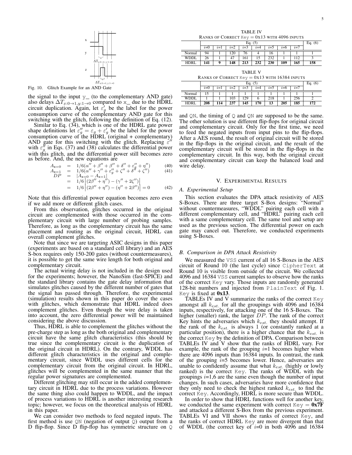

Fig. 10. Glitch Example for an AND Gate

the signal to the input  $y_$  (to the complementary AND gate) also delays  $\Delta T_{x:0\rightarrow 1,y:1\rightarrow 0}$  compared to x\_ due to the HDRL circuit duplication. Again, let  $\varepsilon'_{g}$  be the label for the power consumption curve of the complementary AND gate for this switching with the glitch, following the definition of Eq. (12).

Similar to Eq. (34), which is one of the HDRL gate power shape definitions let  $\varepsilon''_g = \varepsilon_g + \varepsilon'_g$  be the label for the power consumption curve of the  $HDRL$  (original + complementary) AND gate for this switching with the glitch. Replacing *ε ′′* with  $\varepsilon_g''$  in Eqs. (37) and (38) calculates the differential power with this glitch, and the differential power still becomes zero as before. And, the new equations are

$$
A_{x=0} = 1/6(\alpha'' + \beta'' + \beta'' + \delta'' + \epsilon''_9 + \eta'')
$$
(40)  

$$
A_{x=1} = 1/6(\alpha'' + \gamma'' + \epsilon''_9 + \zeta'' + \delta'' + \zeta'')
$$
(41)

$$
\begin{array}{rcl}\nA_{x=1} & = & 1/6(\alpha'' + \gamma'' + \varepsilon''_g + \zeta'' + \delta'' + \zeta'')\\
DP & = & |A_{x=0} - A_{x=1}| \n\end{array}
$$

$$
= 1/6 [(2\beta'' + \eta'') - (\gamma'' + 2\zeta'')]
$$

$$
= 1/6 \left| (2\beta'' + \eta'') - (\gamma'' + 2\zeta'') \right|
$$
  
= 1/6 \left| (2\beta'' + \eta'') - (\eta'' + 2\beta'') \right| = 0 \t(42)

Note that this differential power equation becomes zero even if we add more or different glitch cases.

From this observation, glitches occurred in the original circuit are complemented with those occurred in the complementary circuit with large number of probing samples. Therefore, as long as the complementary circuit has the same placement and routing as the original circuit, HDRL can overall complement glitches.

Note that since we are targeting ASIC designs in this paper (experiments are based on a standard cell library) and an AES S-box requires only 150-200 gates (without countermeasures), it is possible to get the same wire length for both original and complementary circuit.

The actual wiring delay is not included in the design used for the experiments; however, the NanoSim (fast-SPICE) and the standard library contains the gate delay information that simulates glitches caused by the different number of gates that the signal has passed through. Therefore, the experimental (simulation) results shown in this paper do cover the cases with glitches, which demonstrate that HDRL indeed does complement glitches. Even though the wire delay is taken into account, the zero differential power will be maintained considering the above discussion.

Thus, HDRL is able to complement the glitches without the pre-charge step as long as the both original and complementary circuit have the same glitch characteristics (this should be true since the complementary circuit is the duplication of the original circuit in HDRL). On the contrary, WDDL has different glitch characteristics in the original and complementary circuit, since WDDL uses different cells for the complementary circuit from the original circuit. In HDRL, glitches will be complemented in the same manner that the regular power signatures are complemented.

Different glitching may still occur in the added complementary circuit in HDRL due to the process variations. However the same thing also could happen to WDDL, and the impact of process variations to HDRL is another interesting research topic; however, we focus on the theoretical analysis of HDRL in this paper.

We can consider two methods to feed negated inputs. The first method is use  $QN$  (negation of output  $Q$ ) output from a D flip-flop. Since D flip-flop has symmetric structure on Q

TABLE IV RANKS OF CORRECT  $Key = 0x13$  with 4096 INPUTS

|             |       | Eq. $(5)$ |       |       |         |       |       |       |     |  |  |  |
|-------------|-------|-----------|-------|-------|---------|-------|-------|-------|-----|--|--|--|
|             | $i=0$ | $i=1$     | $i=2$ | $i=3$ | $2 = 4$ | $i=5$ | $2=6$ | $i=7$ |     |  |  |  |
| Normal      | 94    |           | 120   | 76    |         | 16    |       |       |     |  |  |  |
| <b>WDDL</b> | 26    |           | 47    | 161   |         | 232   |       | 112   |     |  |  |  |
| <b>HDRL</b> | 141   | Q         | 148   | 213   | 232     | 230   | 109   | 165   | 158 |  |  |  |

TABLE V  $0v12$  with  $16294$  INDUTS

|         |  |  | <b>KAINS OF COKKECT REV</b> = 0ATJ WITH 10J04 INFUTS |  |  |  |  |  |  |  |
|---------|--|--|------------------------------------------------------|--|--|--|--|--|--|--|
| EG. (5) |  |  |                                                      |  |  |  |  |  |  |  |
|         |  |  | $i=1$ $i=2$ $i=3$ $i=4$ $i=5$ $i=6$                  |  |  |  |  |  |  |  |

|             | $i=0$ |    | $2=2$     | $2=3$ | $\sim$ | $2=$              |     | $2 =$ |                |
|-------------|-------|----|-----------|-------|--------|-------------------|-----|-------|----------------|
| Normal      |       |    |           |       |        |                   |     |       |                |
| <b>WDDL</b> |       |    | 103       | 20    |        | <b>010</b><br>410 |     |       |                |
| <b>HDRI</b> | 208   | 14 | 27<br>ا ف | 145   | 170    | 13                | 205 | 185   | $\overline{7}$ |

and  $QN$ , the timing of  $Q$  and  $QN$  are supposed to be the same. The other solution is use different flip-flops for original circuit and complementary circuit. Only for the first time, we need to feed the negated inputs from input pins to the flip-flops. After a AES round, the result of original circuit will be stored in the flip-flops in the original circuit, and the result of the complementary circuit will be stored in the flip-flops in the complementary circuit. In this way, both the original circuit and complementary circuit can keep the balanced load and wire delay.

# V. EXPERIMENTAL RESULTS

# *A. Experimental Setup*

This section evaluates the DPA attack resistivity of AES S-Boxes. There are three target S-Box designs: "Normal" without countermeasures, "WDDL" pairing each cell with a different complementary cell, and "HDRL" pairing each cell with a same complementary cell. The same tool and setup are used as the previous section. The differential power on each gate may cancel out. Therefore, we conducted experiments using S-Boxes.

# *B. Comparison in DPA Attack Resistivity*

We measured the VSS current of all 16 S-Boxes in the AES circuit of Round 10 (the last cycle) since CipherText at Round 10 is visible from outside of the circuit. We collected 4096 and 16384 VSS current samples to observe how the ranks of the correct Key vary. Those inputs are randomly generated 128-bit numbers and injected from PlainText of Fig. 1. Key is fixed at 0x13.

TABLEs IV and V summarize the ranks of the correct  $Key$ amongst all *kest.* for all the groupings with 4096 and 16384 inputs, respectively, for attacking one of the 16 S-Boxes. The higher (smaller) rank, the larger *DP*. The rank of the correct Key hints the adversaries which *kest.* they should attempt. If the rank of the *kest.* is always 1 (or constantly ranked at a particular position), there is a higher chance that the *kest.* is the correct Key by the definition of DPA. Comparison between TABLEs IV and V show that the ranks of HDRL vary. For example, the rank of the grouping *i*=1 becomes higher when there are 4096 inputs than 16384 inputs. In contrast, the rank of the grouping  $i=5$  becomes lower. Hence, adversaries are unable to confidently assume that what *kest.* (highly or lowly ranked) is the correct Key. The ranks of WDDL with the groupings *i*=1,6 are the same even though the number of input changes. In such cases, adversaries have more confidence that they only need to check the highest ranked *kest.* to find the correct Key. Accordingly, HDRL is more secure than WDDL.

In order to show that HDRL functions well for another key, we conducted the same experiment with correct  $Key = 0x7F$ and attacked a different S-Box from the previous experiment. TABLEs VI and VII shows the ranks of correct Key, and the ranks of correct HDRL Key are more divergent than that of WDDL (the correct key of *i*=0 in both 4096 and 16384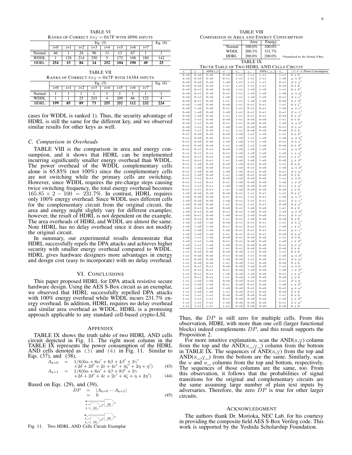TABLE VI RANKS OF CORRECT  $Key = 0x7F$  with 4096 INPUTS

|             |       | Eq. $(5)$ |       |       |         |       |       |       |     |  |  |  |
|-------------|-------|-----------|-------|-------|---------|-------|-------|-------|-----|--|--|--|
|             | $i=0$ | $i=1$     | $i=2$ | $i=3$ | $2 = 4$ | $i=5$ | $2=0$ | $i=7$ |     |  |  |  |
| Normal      | 46    |           | 24    | 96    |         |       |       |       |     |  |  |  |
| <b>WDDL</b> |       | 128       | 214   | 250   |         | 172   | 108   | 180   | 142 |  |  |  |
| <b>HDRL</b> | 254   | 15        | 84    | 14    | 252     | 104   | 190   | 49    | 25  |  |  |  |

| <b>TABLE VII</b> |  |
|------------------|--|
|                  |  |

| <b>RAINS OF CONNECT <math>\text{key} = \text{011}</math> with 10304 INFUTS</b> |       |           |       |       |       |       |       |       |     |  |  |
|--------------------------------------------------------------------------------|-------|-----------|-------|-------|-------|-------|-------|-------|-----|--|--|
|                                                                                |       | Eq. $(6)$ |       |       |       |       |       |       |     |  |  |
|                                                                                | $i=0$ | $i=1$     | $i=2$ | $i=3$ | $i=4$ | $2=5$ | $2=0$ | $i=7$ |     |  |  |
| Normal                                                                         |       |           |       |       |       |       |       |       |     |  |  |
| <b>WDDL</b>                                                                    |       |           | 25    | 243   |       | 209   | 66    | 122   |     |  |  |
| HDRL                                                                           | 199   | 85        | 89    | 73    | 255   | 252   | 112   | 232   | 224 |  |  |

cases for WDDL is ranked 1). Thus, the security advantage of HDRL is still the same for the different key, and we observed similar results for other keys as well.

# *C. Comparison in Overheads*

TABLE VIII is the comparison in area and energy consumption, and it shows that HDRL can be implemented incurring significantly smaller energy overhead than WDDL. The power overhead of the WDDL complementary cells alone is 65.85% (not 100%) since the complementary cells are not switching while the primary cells are switching. However, since WDDL requires the pre-charge steps causing twice switching frequency, the total energy overhead becomes 165*.*85 *×* 2 *−* 100 = 231*.*7%. In contrast, HDRL requires only 100% energy overhead. Since WDDL uses different cells for the complementary circuit from the original circuit, the area and energy might slightly vary for different examples; however, the result of HDRL is not dependent on the example. The area overheads of HDRL and WDDL are almost the same. Note HDRL has no delay overhead since it does not modify the original circuit.

In summary, our experimental results demonstrate that HDRL successfully repels the DPA attacks and achieves higher security with smaller energy overhead compared to WDDL. HDRL gives hardware designers more advantages in energy and design cost (easy to incorporate) with no delay overhead.

# VI. CONCLUSIONS

This paper proposed HDRL for DPA attack resistive secure hardware design. Using the AES S-Box circuit as an exemplar, we observed that HDRL successfully repelled DPA attacks with 100% energy overhead while WDDL incurs 231.7% energy overhead. In addition, HDRL requires no delay overhead and similar area overhead as WDDL. HDRL is a promising approach applicable to any standard cell-based crypto-LSI.

#### APPENDIX

TABLE IX shows the truth table of two HDRL AND cells circuit depicted in Fig. 11. The right most column in the TABLE IX represents the power consumption of the HDRL AND cells denoted as (3) and (4) in Fig. 11. Similar to Eqs. (37), and (38),

$$
A_{x=0} = 1/6(6\alpha + 6\alpha' + 8\beta + 4\beta' + 3\gamma'+2\delta + 2\delta' + 2\varepsilon + 4\varepsilon' + 4\zeta' + 2\eta + \eta')
$$
(43)

$$
A_{x=1} = 1/6(6\alpha + 6\alpha' + 4\beta + 8\beta' + 3\gamma') + 3\gamma' + 2\delta' + 2\delta' + 4\epsilon + 2\epsilon' + 4\zeta + \eta + 2\eta') \tag{44}
$$

Based on Eqs. (29), and (39),

$$
DP = |A_{x=0} - A_{x=1}|
$$
  
= 0 (45)  

$$
\begin{array}{c}\n\frac{1}{x} - \frac{1}{(x)} - \frac{1}{(x)} \\
\frac{1}{x} - \frac{1}{(x)} - \frac{1}{(x)}\n\end{array}
$$

Fig. 11. Two HDRL AND Cells Circuit Exemplar

6

| IABLE VIII                                |                                            |                                            |                                          |                                                |                                            |                                            |                                          |                                                  |  |  |  |
|-------------------------------------------|--------------------------------------------|--------------------------------------------|------------------------------------------|------------------------------------------------|--------------------------------------------|--------------------------------------------|------------------------------------------|--------------------------------------------------|--|--|--|
| COMPARISON IN AREA AND ENERGY CONSUMPTION |                                            |                                            |                                          |                                                |                                            |                                            |                                          |                                                  |  |  |  |
|                                           |                                            |                                            |                                          |                                                | Area                                       | Energy                                     |                                          |                                                  |  |  |  |
|                                           |                                            |                                            |                                          |                                                |                                            |                                            |                                          |                                                  |  |  |  |
|                                           |                                            |                                            |                                          | Normal                                         | 100.0%                                     | 100.0%                                     |                                          |                                                  |  |  |  |
|                                           |                                            |                                            |                                          | <b>WDDL</b>                                    | 200.3%                                     | 331.7%                                     |                                          |                                                  |  |  |  |
|                                           |                                            |                                            | HDRL                                     |                                                | 200.0%                                     |                                            |                                          | $200.0\%$ *Normalized by the Normal S-Box        |  |  |  |
|                                           |                                            |                                            |                                          |                                                | TABLE IX                                   |                                            |                                          |                                                  |  |  |  |
|                                           |                                            |                                            |                                          |                                                |                                            |                                            |                                          |                                                  |  |  |  |
|                                           |                                            |                                            |                                          |                                                |                                            | TRUTH TABLE OF TWO HDRL AND CELLS CIRCUIT  |                                          |                                                  |  |  |  |
| x                                         | V                                          | $\overline{AND}(x,y)$                      | W.                                       | $\mathbf{x}_{-}$                               | ${\tt Y}-$                                 | $\overline{AND(x_{y} - y_{y})}$            | $W_{\perp}$                              | $(3) + (4)$ Power Consumption                    |  |  |  |
| $0 \rightarrow 0$                         | $0 \rightarrow 0$                          | $0 \rightarrow 0$                          | $0\rightarrow 0$                         | $1 \rightarrow 1$                              | $1 \rightarrow 1$                          | $1 \rightarrow 1$                          | $1 \rightarrow 1$                        | $0 + 0$                                          |  |  |  |
| $0 \rightarrow 0$<br>$0 \rightarrow 0$    | $0\rightarrow 0$                           | $0 \rightarrow 0$<br>$0\!\rightarrow\!0$   | $0\rightarrow 1$<br>$1 \rightarrow 0$    | $1 \rightarrow 1$<br>$1 \rightarrow 1$         | $1 \rightarrow 1$<br>$1 \rightarrow 1$     | $1 \rightarrow 1$<br>$1 \rightarrow 1$     | $1 \rightarrow 0$<br>$0 \rightarrow 1$   | $\alpha + \delta'$<br>$\beta + \zeta'$           |  |  |  |
| $0 \rightarrow 0$                         | $0\rightarrow 0$<br>$0\rightarrow 0$       | $0 \rightarrow 0$                          | $1 \rightarrow 1$                        | $1 \rightarrow 1$                              | $1 \rightarrow 1$                          | $1 \rightarrow 1$                          | $0 \rightarrow 0$                        | $0 + 0$                                          |  |  |  |
| $0 \rightarrow 0$                         | $0 \rightarrow 1$                          | $0\!\rightarrow\!0$                        | $0 \rightarrow 0$                        | $1 \rightarrow 1$                              | $1 \rightarrow 0$                          | $1 \rightarrow 0$                          | $1 \rightarrow 1$                        | $0 + \delta'$                                    |  |  |  |
| $0 \rightarrow 0$                         | $0 \rightarrow 1$                          | $0\!\rightarrow\!0$                        | $0 \rightarrow 1$                        | $1 \rightarrow 1$                              | $1 \rightarrow 0$                          | $1\rightarrow 0$                           | $1 \rightarrow 0$                        | $\alpha + \eta'$                                 |  |  |  |
| $0 \rightarrow 0$                         | $0 \rightarrow 1$                          | $0 \rightarrow 0$                          | $1 \rightarrow 0$                        | $1 \rightarrow 1$                              | $1 \rightarrow 0$                          | $1 \rightarrow 0$                          | $0 \rightarrow 1$                        | $\beta + \varepsilon'$                           |  |  |  |
| $0 \rightarrow 0$                         | $0 \rightarrow 1$                          | $0 \rightarrow 0$                          | $1 \rightarrow 1$                        | $1 \rightarrow 1$                              | $1 \rightarrow 0$                          | $1 \rightarrow 0$                          | $0 \rightarrow 0$                        | $0 + \beta'$                                     |  |  |  |
| $0 \rightarrow 0$                         | $1 \rightarrow 0$                          | $0\!\rightarrow\!0$                        | $0 \rightarrow 0$                        | $1 \rightarrow 1$                              | $0 \rightarrow 1$                          | $0 \rightarrow 1$                          | $1 \rightarrow 1$                        | $0+\zeta'$                                       |  |  |  |
| $0\rightarrow 0$                          | $1 \rightarrow 0$                          | $0\!\rightarrow\!0$                        | $0 \rightarrow 1$                        | $1 \rightarrow 1$                              | $0 \rightarrow 1$                          | $0 \rightarrow 1$                          | $1 \rightarrow 0$                        | $\alpha + \varepsilon'$                          |  |  |  |
| $0 \rightarrow 0$                         | $1\!\rightarrow\!0$                        | $0\!\rightarrow\!0$                        | $1 \rightarrow 0$                        | $1 \rightarrow 1$                              | $0 \rightarrow 1$                          | $0 \rightarrow 1$                          | $0 \rightarrow 1$                        | $\beta + \gamma'$                                |  |  |  |
| $0 \rightarrow 0$                         | $1\!\rightarrow\!0$                        | $0\!\rightarrow\!0$                        | $1\!\rightarrow\!1$                      | $1 \rightarrow 1$                              | $0\!\rightarrow\!1$                        | $0\longrightarrow 1$                       | $0 \rightarrow 0$                        | $0 + \alpha'$                                    |  |  |  |
| $0 \rightarrow 0$                         | $1 \rightarrow 1$                          | $0 \rightarrow 0$                          | $0 \rightarrow 0$                        | $1 \rightarrow 1$                              | $0 \rightarrow 0$                          | $0\rightarrow 0$                           | $1 \rightarrow 1$                        | $0 + 0$                                          |  |  |  |
| $0 \rightarrow 0$                         | $1 \rightarrow 1$                          | $0 \rightarrow 0$                          | $0 \rightarrow 1$                        | $1 \rightarrow 1$<br>$1 \rightarrow 1$         | $0 \rightarrow 0$                          | $0\rightarrow 0$<br>$0 \rightarrow 0$      | $1 \rightarrow 0$                        | $\alpha + \beta'$                                |  |  |  |
| $0\rightarrow 0$<br>$0 \rightarrow 0$     | $1\longrightarrow 1$<br>$1 \rightarrow 1$  | $0\!\rightarrow\!0$<br>$0 \rightarrow 0$   | $1 \rightarrow 0$<br>$1 \rightarrow 1$   | $1 \rightarrow 1$                              | $0 \rightarrow 0$<br>$0 \rightarrow 0$     | $0\rightarrow 0$                           | $0 \rightarrow 1$<br>$0 \rightarrow 0$   | $\beta + \alpha'$<br>$0 + 0$                     |  |  |  |
| $0 \rightarrow 1$                         | $0\rightarrow 0$                           | $0\!\rightarrow\!0$                        | $0 \rightarrow 0$                        | $1 \rightarrow 0$                              | $1 \rightarrow 1$                          | $1 \rightarrow 0$                          | $1 \rightarrow 1$                        | $0 + \delta'$                                    |  |  |  |
| $0 \rightarrow 1$                         | $0 \rightarrow 0$                          | $0\!\rightarrow\!0$                        | $0 \rightarrow 1$                        | $1 \rightarrow 0$                              | $1 \rightarrow 1$                          | $1 \rightarrow 0$                          | $1 \rightarrow 0$                        | $\alpha + \eta'$                                 |  |  |  |
| $0 \rightarrow 1$                         | $0\!\rightarrow\!0$                        | $0\!\rightarrow\!0$                        | $1 \rightarrow 0$                        | $1 \rightarrow 0$                              | $1 \rightarrow 1$                          | $1\!\rightarrow\!0$                        | $0 \rightarrow 1$                        | $\beta + \varepsilon'$                           |  |  |  |
| $0 \rightarrow 1$                         | $0\!\rightarrow\!0$                        | $0\!\rightarrow\!0$                        | $1\!\rightarrow\!1$                      | $1\!\rightarrow\!0$                            | $1\longrightarrow 1$                       | $1\!\rightarrow\!0$                        | $0 \rightarrow 0$                        | $0 + \beta'$                                     |  |  |  |
| $0 \rightarrow 1$                         | $0\!\rightarrow\!1$                        | $0 \rightarrow 1$                          | $0\!\rightarrow\!0$                      | $1\!\rightarrow\!0$                            | $1\!\rightarrow\!0$                        | $1 \rightarrow 0$                          | $1 \rightarrow 1$                        | $\alpha + \delta'$                               |  |  |  |
| $0 \rightarrow 1$                         | $0\!\rightarrow\!1$                        | $0 \rightarrow 1$                          | $0 \rightarrow 1$                        | $1 \rightarrow 0$                              | $1 \rightarrow 0$                          | $1 \rightarrow 0$                          | $1 \rightarrow 0$                        | $\gamma + \eta'$                                 |  |  |  |
| $0 \rightarrow 1$                         | $0 \rightarrow 1$                          | $0 \rightarrow 1$                          | $1 \rightarrow 0$                        | $1\!\rightarrow\!0$                            | $1 \rightarrow 0$                          | $1 \rightarrow 0$                          | $0 \rightarrow 1$                        | $\varepsilon + \varepsilon'$                     |  |  |  |
| $0 \rightarrow 1$<br>$0 \rightarrow 1$    | $0 \rightarrow 1$<br>$1\!\rightarrow\!0$   | $0 \rightarrow 1$<br>$0\!\rightarrow\!0$   | $1 \rightarrow 1$<br>$0\!\rightarrow\!0$ | $1\!\rightarrow\!0$<br>$1\!\rightarrow\!0$     | $1\!\rightarrow\!0$<br>$0\!\rightarrow\!1$ | $1 \rightarrow 0$<br>$0\!\rightarrow\!0$   | $0 \rightarrow 0$<br>$1 \rightarrow 1$   | $\zeta + \beta'$<br>$0 + 0$                      |  |  |  |
| $0 \rightarrow 1$                         | $1\!\rightarrow\!0$                        | $0 \rightarrow 0$                          | $0\!\rightarrow\!1$                      | $1\!\rightarrow\!0$                            | $0 \rightarrow 1$                          | $0\rightarrow 0$                           | $1 \rightarrow 0$                        | $\alpha + \beta'$                                |  |  |  |
| $0 \rightarrow 1$                         | $l\!\rightarrow\!0$                        | $0 \rightarrow 0$                          | $1\rightarrow 0$                         | $1\!\rightarrow\!0$                            | $0\!\rightarrow\!1$                        | $0\rightarrow 0$                           | $0\!\rightarrow\!1$                      | $\beta + \alpha'$                                |  |  |  |
| $0 \rightarrow 1$                         | $1\!\rightarrow\!0$                        | $0\!\rightarrow\!0$                        | $1\longrightarrow 1$                     | $1\!\rightarrow\!0$                            | $0 \rightarrow 1$                          | $0\rightarrow 0$                           | $0 \rightarrow 0$                        | $0 + 0$                                          |  |  |  |
| $0 \rightarrow 1$                         | $1 \rightarrow 1$                          | $0\!\rightarrow\!1$                        | $0 \rightarrow 0$                        | $1 \rightarrow 0$                              | $0 \rightarrow 0$                          | $0\rightarrow 0$                           | $1 \rightarrow 1$                        | $\alpha + 0$                                     |  |  |  |
| $0 \rightarrow 1$                         | $1 \rightarrow 1$                          | $0 \rightarrow 1$                          | $0 \rightarrow 1$                        | $1 \rightarrow 0$                              | $0 \rightarrow 0$                          | $0\rightarrow 0$                           | $1 \rightarrow 0$                        | $\gamma + \beta'$                                |  |  |  |
| $0 \rightarrow 1$<br>$0 \rightarrow 1$    | $1 \rightarrow 1$<br>$1 \rightarrow 1$     | $0 \rightarrow 1$<br>$0\!\rightarrow\!1$   | $1 \rightarrow 0$<br>$1 \rightarrow 1$   | $1 \rightarrow 0$<br>$1 \rightarrow 0$         | $0 \rightarrow 0$<br>$0 \rightarrow 0$     | $0\rightarrow 0$<br>$0\rightarrow 0$       | $0 \rightarrow 1$<br>$0 \rightarrow 0$   | $\varepsilon + \alpha'$                          |  |  |  |
| $1 \rightarrow 0$                         | $0 \rightarrow 0$                          | $0 \rightarrow 0$                          | $0 \rightarrow 0$                        | $0 \rightarrow 1$                              | $1 \rightarrow 1$                          | $0 \rightarrow 1$                          | $1 \rightarrow 1$                        | $\zeta + 0$<br>$0$ + $\zeta'$                    |  |  |  |
| $1\rightarrow 0$                          | $0 \rightarrow 0$                          | $0 \rightarrow 0$                          | $0 \rightarrow 1$                        | $0 \rightarrow 1$                              | $1 \rightarrow 1$                          | $0 \rightarrow 1$                          | $1 \rightarrow 0$                        | $\alpha + \varepsilon'$                          |  |  |  |
| $1\rightarrow 0$                          | $0 \rightarrow 0$                          | $0 \rightarrow 0$                          | $1 \rightarrow 0$                        | $0 \rightarrow 1$                              | $1 \rightarrow 1$                          | $0 \rightarrow 1$                          | $0 \rightarrow 1$                        | $\beta + \gamma'$                                |  |  |  |
| $1 \rightarrow 0$                         | $0 \rightarrow 0$                          | $0 \rightarrow 0$                          | $1 \rightarrow 1$                        | $0 \rightarrow 1$                              | $1 \rightarrow 1$                          | $0 \rightarrow 1$                          | $0 \rightarrow 0$                        | $0 + \alpha'$                                    |  |  |  |
| $1\rightarrow 0$                          | $0 \rightarrow 1$                          | $0 \rightarrow 0$                          | $0 \rightarrow 0$                        | $0 \rightarrow 1$                              | $1 \rightarrow 0$                          | $0\rightarrow 0$                           | $1 \rightarrow 1$                        | $0+0$                                            |  |  |  |
| $1\rightarrow 0$                          | $0 \rightarrow 1$                          | $0 \rightarrow 0$                          | $0 \rightarrow 1$                        | $0 \rightarrow 1$                              | $1 \rightarrow 0$                          | $0\rightarrow 0$                           | $1 \rightarrow 0$                        | $\alpha + \beta'$                                |  |  |  |
| $1\rightarrow 0$                          | $0 \rightarrow 1$                          | $0 \rightarrow 0$                          | $1 \rightarrow 0$                        | $0 \rightarrow 1$                              | $1 \rightarrow 0$                          | $0\rightarrow 0$                           | $0 \rightarrow 1$                        | $\beta + \alpha'$                                |  |  |  |
| $1\rightarrow 0$<br>$1 \rightarrow 0$     | $0 \rightarrow 1$<br>$1\rightarrow 0$      | $0\!\rightarrow\!0$<br>$1 \rightarrow 0$   | $1 \rightarrow 1$<br>$0 \rightarrow 0$   | $0 \rightarrow 1$<br>$0 \rightarrow 1$         | $1 \rightarrow 0$<br>$0 \rightarrow 1$     | $0\rightarrow 0$<br>$0 \rightarrow 1$      | $0 \rightarrow 0$<br>$1 \rightarrow 1$   | $0 + 0$                                          |  |  |  |
| $1\rightarrow 0$                          | $1 \rightarrow 0$                          | $1 \rightarrow 0$                          | $0 \rightarrow 1$                        | $0 \rightarrow 1$                              | $0 \rightarrow 1$                          | $0 \rightarrow 1$                          | $1 \rightarrow 0$                        | $\beta + \zeta'$<br>$\varepsilon + \varepsilon'$ |  |  |  |
| $1\rightarrow 0$                          | $1 \rightarrow 0$                          | $1 \rightarrow 0$                          | $1 \rightarrow 0$                        | $0 \rightarrow 1$                              | $0 \rightarrow 1$                          | $0 \rightarrow 1$                          | $0 \rightarrow 1$                        | $\eta + \gamma'$                                 |  |  |  |
| $1 \rightarrow 0$                         | $1 \rightarrow 0$                          | $1 \rightarrow 0$                          | $1 \rightarrow 1$                        | $0 \rightarrow 1$                              | $0 \rightarrow 1$                          | $0 \rightarrow 1$                          | $0 \rightarrow 0$                        | $\delta + \alpha'$                               |  |  |  |
| $1\rightarrow 0$                          | $1 \rightarrow 1$                          | $1\!\rightarrow\!0$                        | $0 \rightarrow 0$                        | $0 \rightarrow 1$                              | $0 \rightarrow 0$                          | $0\rightarrow 0$                           | $1 \rightarrow 1$                        | $\beta + 0$                                      |  |  |  |
| $1\rightarrow 0$                          | $1 \rightarrow 1$                          | $1 \rightarrow 0$                          | $0 \rightarrow 1$                        | $0 \rightarrow 1$                              | $0 \rightarrow 0$                          | $0\rightarrow 0$                           | $1 \rightarrow 0$                        | $\varepsilon + \beta'$                           |  |  |  |
| $1\rightarrow 0$<br>$1 \rightarrow 0$     | $1 \rightarrow 1$                          | $1 \rightarrow 0$<br>$1\rightarrow 0$      | $1 \rightarrow 0$<br>$1 \rightarrow 1$   | $0 \rightarrow 1$<br>$0 \rightarrow 1$         | $0 \rightarrow 0$<br>$0 \rightarrow 0$     | $0\rightarrow 0$<br>$0\rightarrow 0$       | $0 \rightarrow 1$<br>$0 \rightarrow 0$   | $\eta + \alpha'$                                 |  |  |  |
| $1 \rightarrow 1$                         | $1 \longrightarrow 1$<br>$0 \rightarrow 0$ | $0 \rightarrow 0$                          | $0 \rightarrow 0$                        | $0 \rightarrow 0$                              | $1 \rightarrow 1$                          | $0 \rightarrow 0$                          | $1 \rightarrow 1$                        | $\delta + 0$<br>$0 + 0$                          |  |  |  |
| $1 \rightarrow 1$                         | $0 \rightarrow 0$                          | $0 \rightarrow 0$                          | $0 \rightarrow 1$                        | $0\rightarrow 0$                               | $1 \rightarrow 1$                          | $0\rightarrow 0$                           | $1 \rightarrow 0$                        | $\alpha + \beta'$                                |  |  |  |
| $1 \rightarrow 1$                         | $0 \rightarrow 0$                          | $0 \rightarrow 0$                          | $1 \rightarrow 0$                        | $0\rightarrow 0$                               | $1 \rightarrow 1$                          | $0\rightarrow 0$                           | $0 \rightarrow 1$                        | $\beta + \alpha'$                                |  |  |  |
| $1 \rightarrow 1$                         | $0\!\rightarrow\!0$                        | $0 \rightarrow 0$                          | $1 \rightarrow 1$                        | $0\rightarrow 0$                               | $1 \rightarrow 1$                          | $0\rightarrow 0$                           | $0 \rightarrow 0$                        | $0 + 0$                                          |  |  |  |
| $1 \rightarrow 1$                         | $0\!\rightarrow\!1$                        | $0\!\rightarrow\!1$                        | $0\!\rightarrow\!0$                      | $0\!\rightarrow\!0$                            | $1\rightarrow 0$                           | $0\!\rightarrow\!0$                        | $1 \rightarrow 1$                        | $\alpha$ + 0                                     |  |  |  |
| $1 \rightarrow 1$                         | $0\!\rightarrow\!1$                        | $0\!\rightarrow\!1$                        | $0\!\rightarrow\!1$                      | $0\!\rightarrow\!0$                            | $1\!\rightarrow\!0$                        | $0\!\rightarrow\!0$                        | $1 \rightarrow 0$                        | $\gamma + \beta'$                                |  |  |  |
| $1 \rightarrow 1$<br>$1 \rightarrow 1$    | $0\!\rightarrow\!1$<br>$0\!\rightarrow\!1$ | $0\!\rightarrow\!1$<br>$0\!\rightarrow\!1$ | $1 \rightarrow 0$                        | $0\!\rightarrow\!0$                            | $1 \rightarrow 0$                          | $0\!\rightarrow\!0$<br>$0\!\rightarrow\!0$ | $0\longrightarrow 1$<br>$0\rightarrow 0$ | $\varepsilon + \alpha'$                          |  |  |  |
| $1 \rightarrow 1$                         | $1\!\rightarrow\!0$                        | $1\!\rightarrow\!0$                        | $1 \rightarrow 1$<br>$0\rightarrow 0$    | $0\!\rightarrow\!0$<br>$0\rightarrow 0$        | $1\!\rightarrow\!0$<br>$0\!\rightarrow\!1$ | $0\!\rightarrow\!0$                        | $1 \rightarrow 1$                        | $\zeta + 0$<br>$\beta + 0$                       |  |  |  |
| $1 \rightarrow 1$                         | $1\rightarrow 0$                           | $1 \rightarrow 0$                          | $0\!\rightarrow\!1$                      | $0\rightarrow 0$                               | $0 \rightarrow 1$                          | $0\rightarrow 0$                           | $1 \rightarrow 0$                        | $\varepsilon + \beta'$                           |  |  |  |
| $1 \rightarrow 1$                         | $1 \rightarrow 0$                          | $1 \rightarrow 0$                          | $1 \rightarrow 0$                        | $0\rightarrow 0$                               | $0 \rightarrow 1$                          | $0\rightarrow 0$                           | $0 \rightarrow 1$                        | $\eta + \alpha'$                                 |  |  |  |
| $1 \rightarrow 1$                         | $1 \rightarrow 0$                          | $1 \rightarrow 0$                          | $1 \rightarrow 1$                        | $0\rightarrow 0$                               | $0 \rightarrow 1$                          | $0\rightarrow 0$                           | $0 \rightarrow 0$                        | $\delta + 0$                                     |  |  |  |
| $1 \rightarrow 1$                         | $1 \rightarrow 1$                          | $1 \rightarrow 1$                          | $0\!\rightarrow\!0$                      | $0\rightarrow 0$                               | $0 \rightarrow 0$                          | $0\rightarrow 0$                           | $1 \rightarrow 1$                        | $0 + 0$                                          |  |  |  |
| $1 \rightarrow 1$                         | $1 \rightarrow 1$                          | $1 \rightarrow 1$                          | $0 \rightarrow 1$                        | $0\!\rightarrow\!0$                            | $0 \rightarrow 0$                          | $0\rightarrow 0$                           | $1 \rightarrow 0$                        | $\zeta + \beta'$<br>$\delta + \alpha'$           |  |  |  |
| $1 \rightarrow 1$<br>$\frac{1}{2}$        | $1 \rightarrow 1$<br>$1\!\rightarrow\!1$   | $1 \rightarrow 1$<br>$1\longrightarrow 1$  | $1 \rightarrow 0$<br>$1 \rightarrow 1$   | $0\!\rightarrow\!0$<br>$0\!\!\rightarrow\!\!0$ | $0 \rightarrow 0$<br>$0\!\rightarrow\!0$   | $0 \rightarrow 0$<br>$0 \rightarrow 0$     | $0\!\rightarrow\!1$<br>$0 \rightarrow 0$ | $0 + 0$                                          |  |  |  |
|                                           |                                            |                                            |                                          |                                                |                                            |                                            |                                          |                                                  |  |  |  |

TABLE VIII

Thus, the *DP* is still zero for multiple cells. From this observation, HDRL with more than one cell (larger functional blocks) indeed complements *DP*, and this result supports the Proposition 2.

For more intuitive explanation, scan the  $AND(x,y)$  column from the top and the  $AND(x_.,y_$ ) column from the bottom in TABLE IX. The sequences of  $AND(x,y)$  from the top and  $AND(x_{y} \_)$  from the bottom are the same. Similarly, scan the w and w\_ columns from the top and bottom, respectively. The sequences of those columns are the same, too. From this observation, it follows that the probabilities of signal transitions for the original and complementary circuits are the same assuming large number of plain text inputs by adversaries. Therefore, the zero *DP* is true for other larger circuits.

#### ACKNOWLEDGMENT

The authors thank Dr. Morioka, NEC Lab. for his courtesy in providing the composite field AES S-Box Verilog code. This work is supported by the Yoshida Scholarship Foundation.